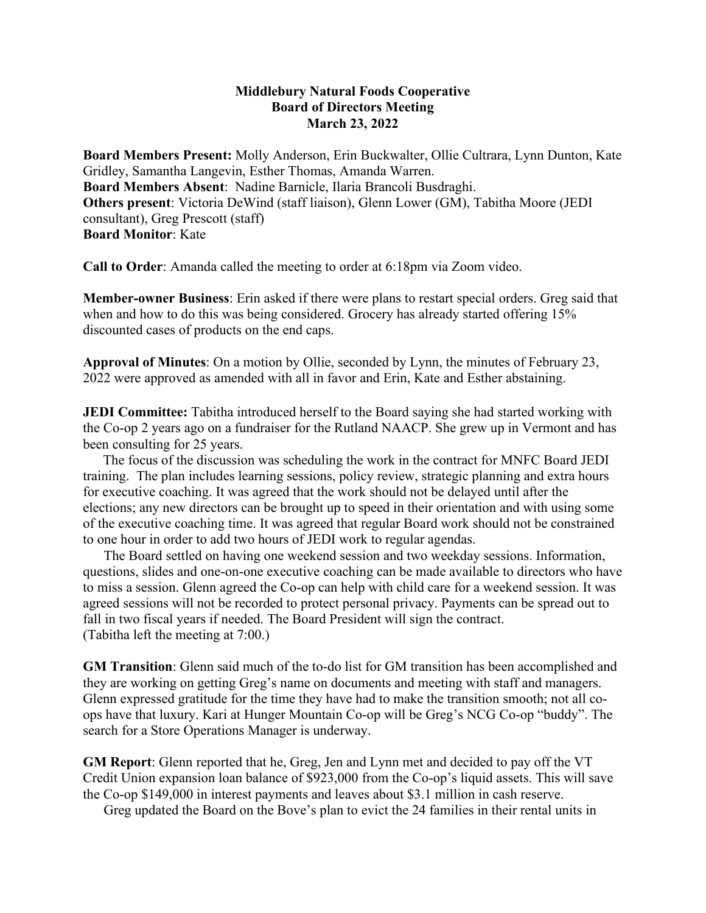## **Middlebury Natural Foods Cooperative Board of Directors Meeting March 23, 2022**

**Board Members Present:** Molly Anderson, Erin Buckwalter, Ollie Cultrara, Lynn Dunton, Kate Gridley, Samantha Langevin, Esther Thomas, Amanda Warren. **Board Members Absent**: Nadine Barnicle, Ilaria Brancoli Busdraghi. **Others present**: Victoria DeWind (staff liaison), Glenn Lower (GM), Tabitha Moore (JEDI consultant), Greg Prescott (staff) **Board Monitor**: Kate

**Call to Order**: Amanda called the meeting to order at 6:18pm via Zoom video.

**Member-owner Business**: Erin asked if there were plans to restart special orders. Greg said that when and how to do this was being considered. Grocery has already started offering 15% discounted cases of products on the end caps.

**Approval of Minutes**: On a motion by Ollie, seconded by Lynn, the minutes of February 23, 2022 were approved as amended with all in favor and Erin, Kate and Esther abstaining.

**JEDI Committee:** Tabitha introduced herself to the Board saying she had started working with the Co-op 2 years ago on a fundraiser for the Rutland NAACP. She grew up in Vermont and has been consulting for 25 years.

 The focus of the discussion was scheduling the work in the contract for MNFC Board JEDI training. The plan includes learning sessions, policy review, strategic planning and extra hours for executive coaching. It was agreed that the work should not be delayed until after the elections; any new directors can be brought up to speed in their orientation and with using some of the executive coaching time. It was agreed that regular Board work should not be constrained to one hour in order to add two hours of JEDI work to regular agendas.

 The Board settled on having one weekend session and two weekday sessions. Information, questions, slides and one-on-one executive coaching can be made available to directors who have to miss a session. Glenn agreed the Co-op can help with child care for a weekend session. It was agreed sessions will not be recorded to protect personal privacy. Payments can be spread out to fall in two fiscal years if needed. The Board President will sign the contract. (Tabitha left the meeting at 7:00.)

**GM Transition**: Glenn said much of the to-do list for GM transition has been accomplished and they are working on getting Greg's name on documents and meeting with staff and managers. Glenn expressed gratitude for the time they have had to make the transition smooth; not all coops have that luxury. Kari at Hunger Mountain Co-op will be Greg's NCG Co-op "buddy". The search for a Store Operations Manager is underway.

**GM Report**: Glenn reported that he, Greg, Jen and Lynn met and decided to pay off the VT Credit Union expansion loan balance of \$923,000 from the Co-op's liquid assets. This will save the Co-op \$149,000 in interest payments and leaves about \$3.1 million in cash reserve.

Greg updated the Board on the Bove's plan to evict the 24 families in their rental units in